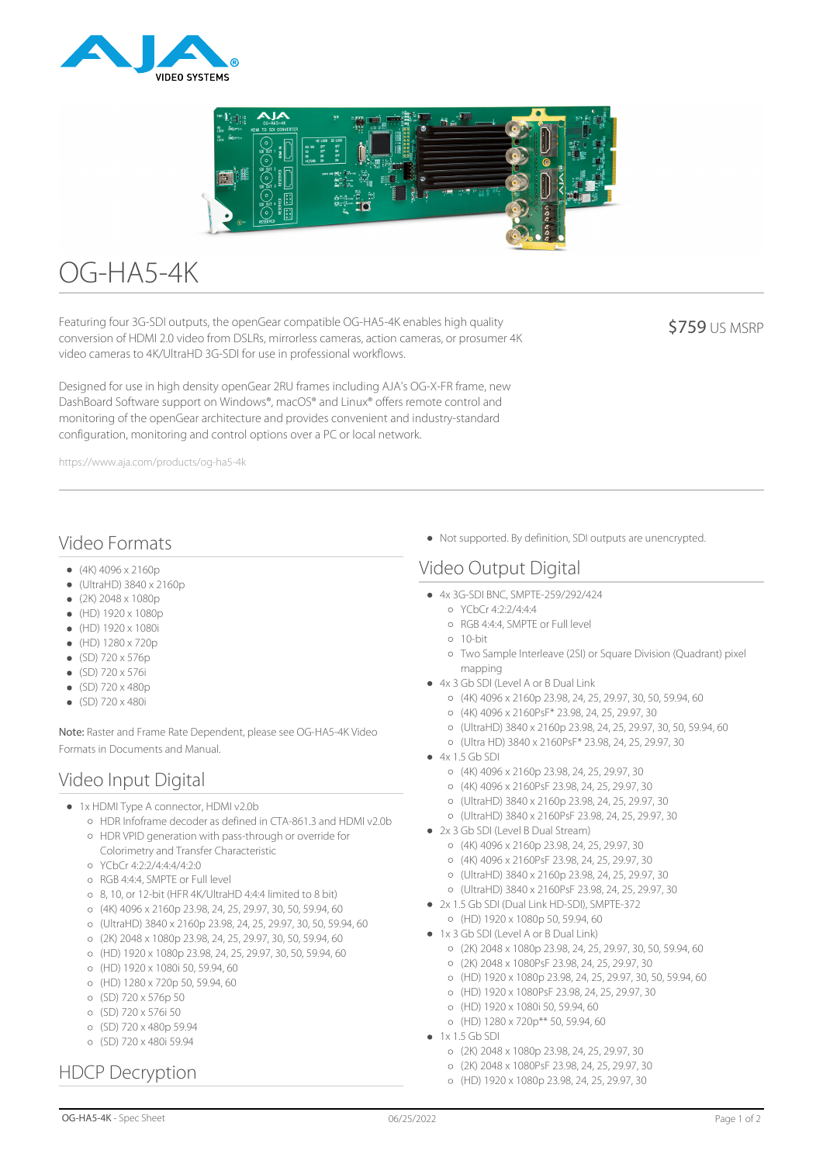



# OG-HA5-4K

Featuring four 3G-SDI outputs, the openGear compatible OG-HA5-4K enables high quality conversion of HDMI 2.0 video from DSLRs, mirrorless cameras, action cameras, or prosumer 4K video cameras to 4K/UltraHD 3G-SDI for use in professional workflows.

**\$759 US MSRP** 

Designed for use in high density openGear 2RU frames including AJA's OG-X-FR frame, new DashBoard Software support on Windows®, macOS® and Linux® offers remote control and monitoring of the openGear architecture and provides convenient and industry-standard configuration, monitoring and control options over a PC or local network.

https://www.aja.com/products/og-ha5-4k

## Video Formats

- $(4K)$  4096 x 2160p
- $\bullet$  (UltraHD) 3840 x 2160p
- $(2K)$  2048 x 1080p
- $\bullet$  (HD) 1920 x 1080p
- (HD) 1920 x 1080i
- $(HD) 1280 \times 720p$
- $\bullet$  (SD) 720 x 576p
- $\bullet$  (SD) 720 x 576i
- $\bullet$  (SD) 720 x 480p
- (SD) 720 x 480i

Note: Raster and Frame Rate Dependent, please see OG-HA5-4K Video Formats in Documents and Manual.

## Video Input Digital

- 1x HDMI Type A connector, HDMI v2.0b
	- HDR Infoframe decoder as defined in CTA-861.3 and HDMI v2.0b HDR VPID generation with pass-through or override for
	- Colorimetry and Transfer Characteristic
	- YCbCr 4:2:2/4:4:4/4:2:0
	- RGB 4:4:4, SMPTE or Full level
	- 8, 10, or 12-bit (HFR 4K/UltraHD 4:4:4 limited to 8 bit)
	- (4K) 4096 x 2160p 23.98, 24, 25, 29.97, 30, 50, 59.94, 60
	- (UltraHD) 3840 x 2160p 23.98, 24, 25, 29.97, 30, 50, 59.94, 60
	- (2K) 2048 x 1080p 23.98, 24, 25, 29.97, 30, 50, 59.94, 60
	- (HD) 1920 x 1080p 23.98, 24, 25, 29.97, 30, 50, 59.94, 60
	- (HD) 1920 x 1080i 50, 59.94, 60
	- $O(HD)$  1280 x 720p 50, 59.94, 60
	- (SD) 720 x 576p 50
	- (SD) 720 x 576i 50
	- (SD) 720 x 480p 59.94
	- (SD) 720 x 480i 59.94

# HDCP Decryption

Not supported. By definition, SDI outputs are unencrypted.

# Video Output Digital

- 4x 3G-SDI BNC, SMPTE-259/292/424
	- YCbCr 4:2:2/4:4:4
	- RGB 4:4:4, SMPTE or Full level
	- $0.10-hit$
	- Two Sample Interleave (2SI) or Square Division (Quadrant) pixel mapping
- 4x 3 Gb SDI (Level A or B Dual Link
	- (4K) 4096 x 2160p 23.98, 24, 25, 29.97, 30, 50, 59.94, 60
	- (4K) 4096 x 2160PsF\* 23.98, 24, 25, 29.97, 30
	- (UltraHD) 3840 x 2160p 23.98, 24, 25, 29.97, 30, 50, 59.94, 60
	- (Ultra HD) 3840 x 2160PsF\* 23.98, 24, 25, 29.97, 30
- $4x$  1.5 Gb SDI
	- (4K) 4096 x 2160p 23.98, 24, 25, 29.97, 30
	- (4K) 4096 x 2160PsF 23.98, 24, 25, 29.97, 30
	- (UltraHD) 3840 x 2160p 23.98, 24, 25, 29.97, 30
	- (UltraHD) 3840 x 2160PsF 23.98, 24, 25, 29.97, 30
- 2x 3 Gb SDI (Level B Dual Stream)
	- (4K) 4096 x 2160p 23.98, 24, 25, 29.97, 30
	- (4K) 4096 x 2160PsF 23.98, 24, 25, 29.97, 30
	- (UltraHD) 3840 x 2160p 23.98, 24, 25, 29.97, 30
	- (UltraHD) 3840 x 2160PsF 23.98, 24, 25, 29.97, 30
- 2x 1.5 Gb SDI (Dual Link HD-SDI), SMPTE-372
- (HD) 1920 x 1080p 50, 59.94, 60 ● 1x 3 Gb SDI (Level A or B Dual Link)
	- (2K) 2048 x 1080p 23.98, 24, 25, 29.97, 30, 50, 59.94, 60
	- (2K) 2048 x 1080PsF 23.98, 24, 25, 29.97, 30
	-
	- (HD) 1920 x 1080p 23.98, 24, 25, 29.97, 30, 50, 59.94, 60
	- (HD) 1920 x 1080PsF 23.98, 24, 25, 29.97, 30
	- (HD) 1920 x 1080i 50, 59.94, 60
	- (HD) 1280 x 720p\*\* 50, 59.94, 60
- $\bullet$  1x 1.5 Gb SDI
	- (2K) 2048 x 1080p 23.98, 24, 25, 29.97, 30
	- (2K) 2048 x 1080PsF 23.98, 24, 25, 29.97, 30
	- (HD) 1920 x 1080p 23.98, 24, 25, 29.97, 30